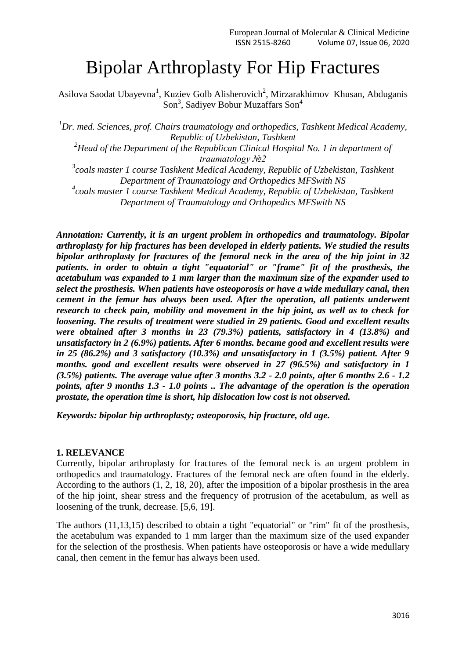# Bipolar Arthroplasty For Hip Fractures

Asilova Saodat Ubayevna<sup>1</sup>, Kuziev Golb Alisherovich<sup>2</sup>, Mirzarakhimov Khusan, Abduganis Son<sup>3</sup>, Sadiyev Bobur Muzaffars Son<sup>4</sup>

*<sup>1</sup>Dr. med. Sciences, prof. Chairs traumatology and orthopedics, Tashkent Medical Academy, Republic of Uzbekistan, Tashkent*

*<sup>2</sup>Head of the Department of the Republican Clinical Hospital No. 1 in department of traumatology №2*

*3 coals master 1 course Tashkent Medical Academy, Republic of Uzbekistan, Tashkent Department of Traumatology and Orthopedics MFSwith NS*

*4 coals master 1 course Tashkent Medical Academy, Republic of Uzbekistan, Tashkent Department of Traumatology and Orthopedics MFSwith NS*

*Annotation: Currently, it is an urgent problem in orthopedics and traumatology. Bipolar arthroplasty for hip fractures has been developed in elderly patients. We studied the results bipolar arthroplasty for fractures of the femoral neck in the area of the hip joint in 32 patients. in order to obtain a tight "equatorial" or "frame" fit of the prosthesis, the acetabulum was expanded to 1 mm larger than the maximum size of the expander used to select the prosthesis. When patients have osteoporosis or have a wide medullary canal, then cement in the femur has always been used. After the operation, all patients underwent research to check pain, mobility and movement in the hip joint, as well as to check for loosening. The results of treatment were studied in 29 patients. Good and excellent results were obtained after 3 months in 23 (79.3%) patients, satisfactory in 4 (13.8%) and unsatisfactory in 2 (6.9%) patients. After 6 months. became good and excellent results were in 25 (86.2%) and 3 satisfactory (10.3%) and unsatisfactory in 1 (3.5%) patient. After 9 months. good and excellent results were observed in 27 (96.5%) and satisfactory in 1 (3.5%) patients. The average value after 3 months 3.2 - 2.0 points, after 6 months 2.6 - 1.2 points, after 9 months 1.3 - 1.0 points .. The advantage of the operation is the operation prostate, the operation time is short, hip dislocation low cost is not observed.*

*Keywords: bipolar hip arthroplasty; osteoporosis, hip fracture, old age.*

#### **1. RELEVANCE**

Currently, bipolar arthroplasty for fractures of the femoral neck is an urgent problem in orthopedics and traumatology. Fractures of the femoral neck are often found in the elderly. According to the authors (1, 2, 18, 20), after the imposition of a bipolar prosthesis in the area of the hip joint, shear stress and the frequency of protrusion of the acetabulum, as well as loosening of the trunk, decrease. [5,6, 19].

The authors (11,13,15) described to obtain a tight "equatorial" or "rim" fit of the prosthesis, the acetabulum was expanded to 1 mm larger than the maximum size of the used expander for the selection of the prosthesis. When patients have osteoporosis or have a wide medullary canal, then cement in the femur has always been used.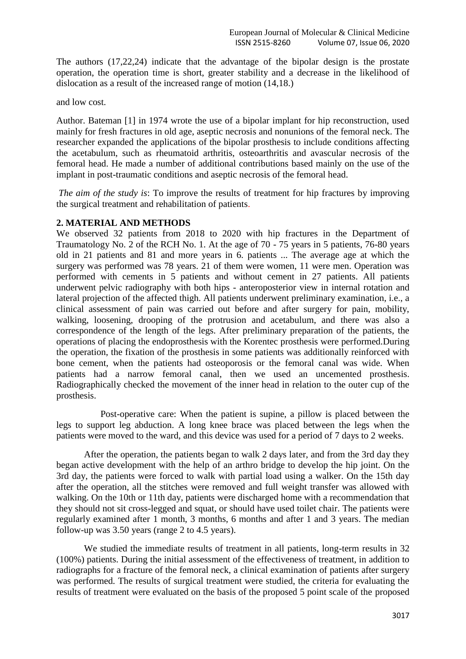The authors (17,22,24) indicate that the advantage of the bipolar design is the prostate operation, the operation time is short, greater stability and a decrease in the likelihood of dislocation as a result of the increased range of motion (14,18.)

and low cost.

Author. Bateman [1] in 1974 wrote the use of a bipolar implant for hip reconstruction, used mainly for fresh fractures in old age, aseptic necrosis and nonunions of the femoral neck. The researcher expanded the applications of the bipolar prosthesis to include conditions affecting the acetabulum, such as rheumatoid arthritis, osteoarthritis and avascular necrosis of the femoral head. He made a number of additional contributions based mainly on the use of the implant in post-traumatic conditions and aseptic necrosis of the femoral head.

*The aim of the study is*: To improve the results of treatment for hip fractures by improving the surgical treatment and rehabilitation of patients.

### **2. MATERIAL AND METHODS**

We observed 32 patients from 2018 to 2020 with hip fractures in the Department of Traumatology No. 2 of the RCH No. 1. At the age of 70 - 75 years in 5 patients, 76-80 years old in 21 patients and 81 and more years in 6. patients ... The average age at which the surgery was performed was 78 years. 21 of them were women, 11 were men. Operation was performed with cements in 5 patients and without cement in 27 patients. All patients underwent pelvic radiography with both hips - anteroposterior view in internal rotation and lateral projection of the affected thigh. All patients underwent preliminary examination, i.e., a clinical assessment of pain was carried out before and after surgery for pain, mobility, walking, loosening, drooping of the protrusion and acetabulum, and there was also a correspondence of the length of the legs. After preliminary preparation of the patients, the operations of placing the endoprosthesis with the Korentec prosthesis were performed.During the operation, the fixation of the prosthesis in some patients was additionally reinforced with bone cement, when the patients had osteoporosis or the femoral canal was wide. When patients had a narrow femoral canal, then we used an uncemented prosthesis. Radiographically checked the movement of the inner head in relation to the outer cup of the prosthesis.

 Post-operative care: When the patient is supine, a pillow is placed between the legs to support leg abduction. A long knee brace was placed between the legs when the patients were moved to the ward, and this device was used for a period of 7 days to 2 weeks.

After the operation, the patients began to walk 2 days later, and from the 3rd day they began active development with the help of an arthro bridge to develop the hip joint. On the 3rd day, the patients were forced to walk with partial load using a walker. On the 15th day after the operation, all the stitches were removed and full weight transfer was allowed with walking. On the 10th or 11th day, patients were discharged home with a recommendation that they should not sit cross-legged and squat, or should have used toilet chair. The patients were regularly examined after 1 month, 3 months, 6 months and after 1 and 3 years. The median follow-up was 3.50 years (range 2 to 4.5 years).

We studied the immediate results of treatment in all patients, long-term results in 32 (100%) patients. During the initial assessment of the effectiveness of treatment, in addition to radiographs for a fracture of the femoral neck, a clinical examination of patients after surgery was performed. The results of surgical treatment were studied, the criteria for evaluating the results of treatment were evaluated on the basis of the proposed 5 point scale of the proposed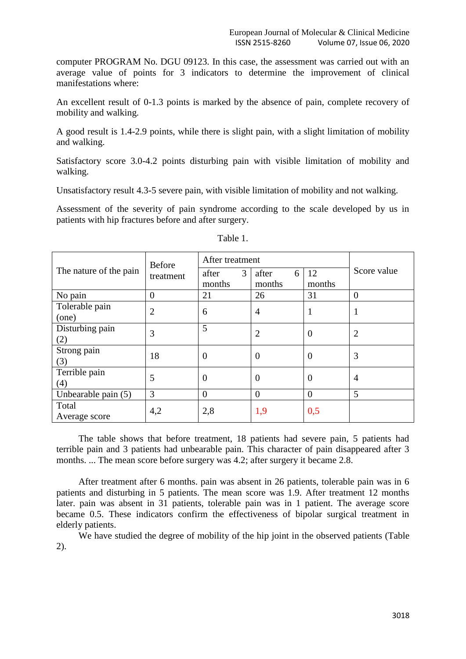computer PROGRAM No. DGU 09123. In this case, the assessment was carried out with an average value of points for 3 indicators to determine the improvement of clinical manifestations where:

An excellent result of 0-1.3 points is marked by the absence of pain, complete recovery of mobility and walking.

A good result is 1.4-2.9 points, while there is slight pain, with a slight limitation of mobility and walking.

Satisfactory score 3.0-4.2 points disturbing pain with visible limitation of mobility and walking.

Unsatisfactory result 4.3-5 severe pain, with visible limitation of mobility and not walking.

Assessment of the severity of pain syndrome according to the scale developed by us in patients with hip fractures before and after surgery.

|                         | <b>Before</b>  | After treatment      |                      |                | Score value    |
|-------------------------|----------------|----------------------|----------------------|----------------|----------------|
| The nature of the pain  | treatment      | 3<br>after<br>months | after<br>6<br>months | 12<br>months   |                |
| No pain                 | $\overline{0}$ | 21                   | 26                   | 31             | $\overline{0}$ |
| Tolerable pain<br>(one) | $\overline{2}$ | 6                    | $\overline{4}$       |                |                |
| Disturbing pain<br>(2)  | 3              | 5                    | $\overline{2}$       | $\overline{0}$ | $\overline{2}$ |
| Strong pain<br>(3)      | 18             | $\theta$             | $\theta$             | $\theta$       | 3              |
| Terrible pain<br>(4)    | 5              | $\theta$             | $\overline{0}$       | $\overline{0}$ | $\overline{4}$ |
| Unbearable pain (5)     | 3              | $\theta$             | $\overline{0}$       | $\theta$       | 5              |
| Total<br>Average score  | 4,2            | 2,8                  | 1,9                  | 0,5            |                |

Table 1.

The table shows that before treatment, 18 patients had severe pain, 5 patients had terrible pain and 3 patients had unbearable pain. This character of pain disappeared after 3 months. ... The mean score before surgery was 4.2; after surgery it became 2.8.

After treatment after 6 months. pain was absent in 26 patients, tolerable pain was in 6 patients and disturbing in 5 patients. The mean score was 1.9. After treatment 12 months later. pain was absent in 31 patients, tolerable pain was in 1 patient. The average score became 0.5. These indicators confirm the effectiveness of bipolar surgical treatment in elderly patients.

We have studied the degree of mobility of the hip joint in the observed patients (Table 2).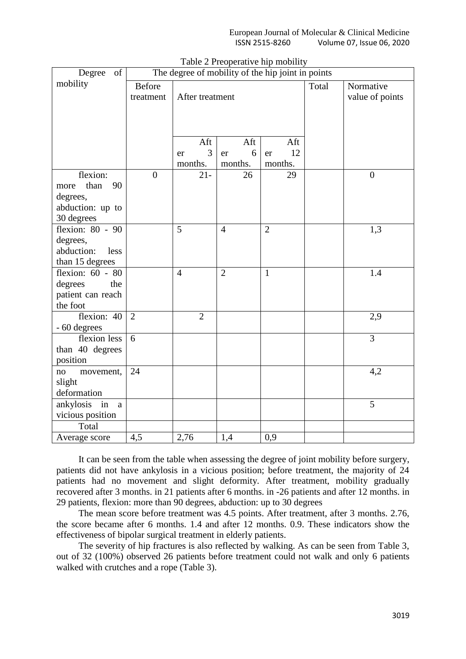| of<br>Degree                  | The degree of mobility of the hip joint in points |                 |                |                |       |                              |
|-------------------------------|---------------------------------------------------|-----------------|----------------|----------------|-------|------------------------------|
| mobility                      | <b>Before</b><br>treatment                        | After treatment |                |                | Total | Normative<br>value of points |
|                               |                                                   | Aft             | Aft            | Aft            |       |                              |
|                               |                                                   | 3<br>er         | 6<br>er        | 12<br>er       |       |                              |
|                               |                                                   | months.         | months.        | months.        |       |                              |
| flexion:                      | $\overline{0}$                                    | $21 -$          | 26             | 29             |       | $\boldsymbol{0}$             |
| than<br>90<br>more            |                                                   |                 |                |                |       |                              |
| degrees,                      |                                                   |                 |                |                |       |                              |
| abduction: up to              |                                                   |                 |                |                |       |                              |
| 30 degrees                    |                                                   |                 |                |                |       |                              |
| flexion: 80 - 90              |                                                   | 5               | $\overline{4}$ | $\overline{2}$ |       | 1,3                          |
| degrees,                      |                                                   |                 |                |                |       |                              |
| abduction:<br>less            |                                                   |                 |                |                |       |                              |
| than 15 degrees               |                                                   |                 |                |                |       |                              |
| flexion: 60 - 80              |                                                   | $\overline{4}$  | $\overline{2}$ | $\mathbf{1}$   |       | 1.4                          |
| degrees<br>the                |                                                   |                 |                |                |       |                              |
| patient can reach<br>the foot |                                                   |                 |                |                |       |                              |
| flexion: 40                   | $\overline{2}$                                    | $\overline{2}$  |                |                |       | 2,9                          |
| - 60 degrees                  |                                                   |                 |                |                |       |                              |
| flexion less                  | 6                                                 |                 |                |                |       | $\overline{3}$               |
| than 40 degrees               |                                                   |                 |                |                |       |                              |
| position                      |                                                   |                 |                |                |       |                              |
| movement,<br>no               | 24                                                |                 |                |                |       | 4,2                          |
| slight                        |                                                   |                 |                |                |       |                              |
| deformation                   |                                                   |                 |                |                |       |                              |
| ankylosis in a                |                                                   |                 |                |                |       | 5                            |
| vicious position              |                                                   |                 |                |                |       |                              |
| Total                         |                                                   |                 |                |                |       |                              |
| Average score                 | 4,5                                               | 2,76            | 1,4            | 0,9            |       |                              |

|  | Table 2 Preoperative hip mobility |  |  |  |
|--|-----------------------------------|--|--|--|
|--|-----------------------------------|--|--|--|

It can be seen from the table when assessing the degree of joint mobility before surgery, patients did not have ankylosis in a vicious position; before treatment, the majority of 24 patients had no movement and slight deformity. After treatment, mobility gradually recovered after 3 months. in 21 patients after 6 months. in -26 patients and after 12 months. in 29 patients, flexion: more than 90 degrees, abduction: up to 30 degrees

The mean score before treatment was 4.5 points. After treatment, after 3 months. 2.76, the score became after 6 months. 1.4 and after 12 months. 0.9. These indicators show the effectiveness of bipolar surgical treatment in elderly patients.

The severity of hip fractures is also reflected by walking. As can be seen from Table 3, out of 32 (100%) observed 26 patients before treatment could not walk and only 6 patients walked with crutches and a rope (Table 3).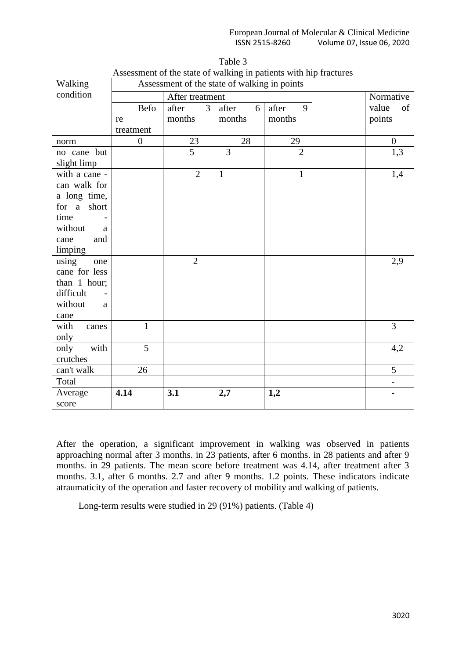| <i>research</i> of the state of waiking in patients with mp flactures<br>Walking<br>Assessment of the state of walking in points |                 |                |                |                |           |                |
|----------------------------------------------------------------------------------------------------------------------------------|-----------------|----------------|----------------|----------------|-----------|----------------|
| condition                                                                                                                        | After treatment |                |                |                | Normative |                |
|                                                                                                                                  | <b>Befo</b>     | after<br>3     | after<br>6     | after<br>9     |           | value<br>of    |
|                                                                                                                                  | re              | months         | months         | months         |           | points         |
|                                                                                                                                  | treatment       |                |                |                |           |                |
| norm                                                                                                                             | $\overline{0}$  | 23             | 28             | 29             |           | $\overline{0}$ |
| no cane but                                                                                                                      |                 | $\overline{5}$ | $\overline{3}$ | $\overline{2}$ |           | 1,3            |
| slight limp                                                                                                                      |                 |                |                |                |           |                |
| with a cane -                                                                                                                    |                 | $\overline{2}$ | $\mathbf{1}$   | $\mathbf{1}$   |           | 1,4            |
| can walk for                                                                                                                     |                 |                |                |                |           |                |
| a long time,                                                                                                                     |                 |                |                |                |           |                |
| for a short                                                                                                                      |                 |                |                |                |           |                |
| time                                                                                                                             |                 |                |                |                |           |                |
| without<br>a                                                                                                                     |                 |                |                |                |           |                |
| cane<br>and                                                                                                                      |                 |                |                |                |           |                |
| limping                                                                                                                          |                 |                |                |                |           |                |
| using<br>one                                                                                                                     |                 | $\overline{2}$ |                |                |           | 2,9            |
| cane for less                                                                                                                    |                 |                |                |                |           |                |
| than 1 hour;                                                                                                                     |                 |                |                |                |           |                |
| difficult                                                                                                                        |                 |                |                |                |           |                |
| without<br>a                                                                                                                     |                 |                |                |                |           |                |
| cane                                                                                                                             |                 |                |                |                |           |                |
| with<br>canes                                                                                                                    | $\mathbf{1}$    |                |                |                |           | 3              |
| only                                                                                                                             |                 |                |                |                |           |                |
| with<br>only                                                                                                                     | 5               |                |                |                |           | 4,2            |
| crutches                                                                                                                         |                 |                |                |                |           |                |
| can't walk                                                                                                                       | 26              |                |                |                |           | 5              |
| Total                                                                                                                            |                 |                |                |                |           | $\blacksquare$ |
| Average                                                                                                                          | 4.14            | 3.1            | 2,7            | 1,2            |           |                |
| score                                                                                                                            |                 |                |                |                |           |                |

| Table 3                                                           |
|-------------------------------------------------------------------|
| Assessment of the state of walking in patients with hip fractures |

After the operation, a significant improvement in walking was observed in patients approaching normal after 3 months. in 23 patients, after 6 months. in 28 patients and after 9 months. in 29 patients. The mean score before treatment was 4.14, after treatment after 3 months. 3.1, after 6 months. 2.7 and after 9 months. 1.2 points. These indicators indicate atraumaticity of the operation and faster recovery of mobility and walking of patients.

Long-term results were studied in 29 (91%) patients. (Table 4)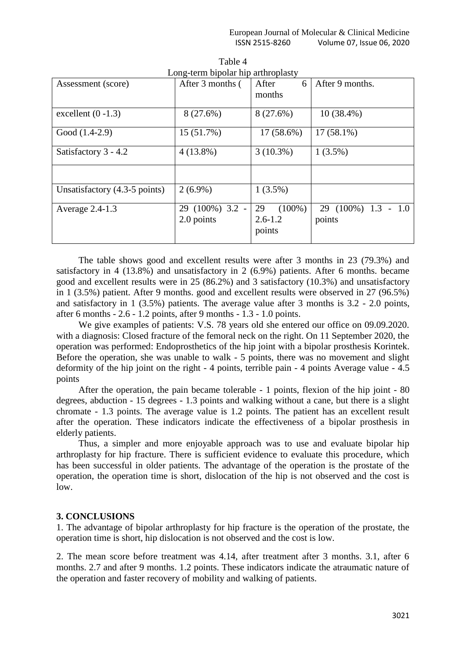| Assessment (score)            | $\ldots$<br>After 3 months (  | $\cdots$ $\cdots$ $\cdots$<br>After<br>6<br>months | After 9 months.               |
|-------------------------------|-------------------------------|----------------------------------------------------|-------------------------------|
| excellent $(0 -1.3)$          | 8 (27.6%)                     | 8 (27.6%)                                          | $10(38.4\%)$                  |
| Good (1.4-2.9)                | 15 (51.7%)                    | 17 (58.6%)                                         | $17(58.1\%)$                  |
| Satisfactory 3 - 4.2          | $4(13.8\%)$                   | $3(10.3\%)$                                        | $1(3.5\%)$                    |
|                               |                               |                                                    |                               |
| Unsatisfactory (4.3-5 points) | $2(6.9\%)$                    | $1(3.5\%)$                                         |                               |
| Average 2.4-1.3               | 29 (100%) 3.2 -<br>2.0 points | $(100\%)$<br>29<br>$2.6 - 1.2$<br>points           | 29 (100%) 1.3 - 1.0<br>points |

Table 4 Long-term bipolar hip arthroplasty

The table shows good and excellent results were after 3 months in 23 (79.3%) and satisfactory in 4 (13.8%) and unsatisfactory in 2 (6.9%) patients. After 6 months. became good and excellent results were in 25 (86.2%) and 3 satisfactory (10.3%) and unsatisfactory in 1 (3.5%) patient. After 9 months. good and excellent results were observed in 27 (96.5%) and satisfactory in 1 (3.5%) patients. The average value after 3 months is 3.2 - 2.0 points, after 6 months - 2.6 - 1.2 points, after 9 months - 1.3 - 1.0 points.

We give examples of patients: V.S. 78 years old she entered our office on 09.09.2020. with a diagnosis: Closed fracture of the femoral neck on the right. On 11 September 2020, the operation was performed: Endoprosthetics of the hip joint with a bipolar prosthesis Korintek. Before the operation, she was unable to walk - 5 points, there was no movement and slight deformity of the hip joint on the right - 4 points, terrible pain - 4 points Average value - 4.5 points

After the operation, the pain became tolerable - 1 points, flexion of the hip joint - 80 degrees, abduction - 15 degrees - 1.3 points and walking without a cane, but there is a slight chromate - 1.3 points. The average value is 1.2 points. The patient has an excellent result after the operation. These indicators indicate the effectiveness of a bipolar prosthesis in elderly patients.

Thus, a simpler and more enjoyable approach was to use and evaluate bipolar hip arthroplasty for hip fracture. There is sufficient evidence to evaluate this procedure, which has been successful in older patients. The advantage of the operation is the prostate of the operation, the operation time is short, dislocation of the hip is not observed and the cost is low.

### **3. CONCLUSIONS**

1. The advantage of bipolar arthroplasty for hip fracture is the operation of the prostate, the operation time is short, hip dislocation is not observed and the cost is low.

2. The mean score before treatment was 4.14, after treatment after 3 months. 3.1, after 6 months. 2.7 and after 9 months. 1.2 points. These indicators indicate the atraumatic nature of the operation and faster recovery of mobility and walking of patients.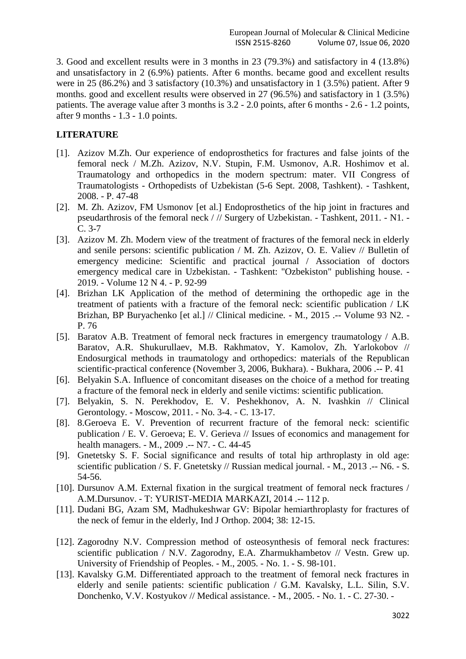3. Good and excellent results were in 3 months in 23 (79.3%) and satisfactory in 4 (13.8%) and unsatisfactory in 2 (6.9%) patients. After 6 months. became good and excellent results were in 25 (86.2%) and 3 satisfactory (10.3%) and unsatisfactory in 1 (3.5%) patient. After 9 months. good and excellent results were observed in 27 (96.5%) and satisfactory in 1 (3.5%) patients. The average value after 3 months is 3.2 - 2.0 points, after 6 months - 2.6 - 1.2 points, after 9 months - 1.3 - 1.0 points.

## **LITERATURE**

- [1]. Azizov M.Zh. Our experience of endoprosthetics for fractures and false joints of the femoral neck / M.Zh. Azizov, N.V. Stupin, F.M. Usmonov, A.R. Hoshimov et al. Traumatology and orthopedics in the modern spectrum: mater. VII Congress of Traumatologists - Orthopedists of Uzbekistan (5-6 Sept. 2008, Tashkent). - Tashkent, 2008. - P. 47-48
- [2]. M. Zh. Azizov, FM Usmonov [et al.] Endoprosthetics of the hip joint in fractures and pseudarthrosis of the femoral neck / // Surgery of Uzbekistan. - Tashkent, 2011. - N1. - C. 3-7
- [3]. Azizov M. Zh. Modern view of the treatment of fractures of the femoral neck in elderly and senile persons: scientific publication / M. Zh. Azizov, O. E. Valiev // Bulletin of emergency medicine: Scientific and practical journal / Association of doctors emergency medical care in Uzbekistan. - Tashkent: "Ozbekiston" publishing house. - 2019. - Volume 12 N 4. - P. 92-99
- [4]. Brizhan LK Application of the method of determining the orthopedic age in the treatment of patients with a fracture of the femoral neck: scientific publication / LK Brizhan, BP Buryachenko [et al.] // Clinical medicine. - M., 2015 .-- Volume 93 N2. - P. 76
- [5]. Baratov A.B. Treatment of femoral neck fractures in emergency traumatology / A.B. Baratov, A.R. Shukurullaev, M.B. Rakhmatov, Y. Kamolov, Zh. Yarlokobov // Endosurgical methods in traumatology and orthopedics: materials of the Republican scientific-practical conference (November 3, 2006, Bukhara). - Bukhara, 2006 .-- P. 41
- [6]. Belyakin S.A. Influence of concomitant diseases on the choice of a method for treating a fracture of the femoral neck in elderly and senile victims: scientific publication.
- [7]. Belyakin, S. N. Perekhodov, E. V. Peshekhonov, A. N. Ivashkin // Clinical Gerontology. - Moscow, 2011. - No. 3-4. - C. 13-17.
- [8]. 8.Geroeva E. V. Prevention of recurrent fracture of the femoral neck: scientific publication / E. V. Geroeva; E. V. Gerieva // Issues of economics and management for health managers. - M., 2009 .-- N7. - C. 44-45
- [9]. Gnetetsky S. F. Social significance and results of total hip arthroplasty in old age: scientific publication / S. F. Gnetetsky // Russian medical journal. - M., 2013 .-- N6. - S. 54-56.
- [10]. Dursunov A.M. External fixation in the surgical treatment of femoral neck fractures / A.M.Dursunov. - T: YURIST-MEDIA MARKAZI, 2014 .-- 112 p.
- [11]. Dudani BG, Azam SM, Madhukeshwar GV: Bipolar hemiarthroplasty for fractures of the neck of femur in the elderly, Ind J Orthop. 2004; 38: 12-15.
- [12]. Zagorodny N.V. Compression method of osteosynthesis of femoral neck fractures: scientific publication / N.V. Zagorodny, E.A. Zharmukhambetov // Vestn. Grew up. University of Friendship of Peoples. - M., 2005. - No. 1. - S. 98-101.
- [13]. Kavalsky G.M. Differentiated approach to the treatment of femoral neck fractures in elderly and senile patients: scientific publication / G.M. Kavalsky, L.L. Silin, S.V. Donchenko, V.V. Kostyukov // Medical assistance. - M., 2005. - No. 1. - C. 27-30. -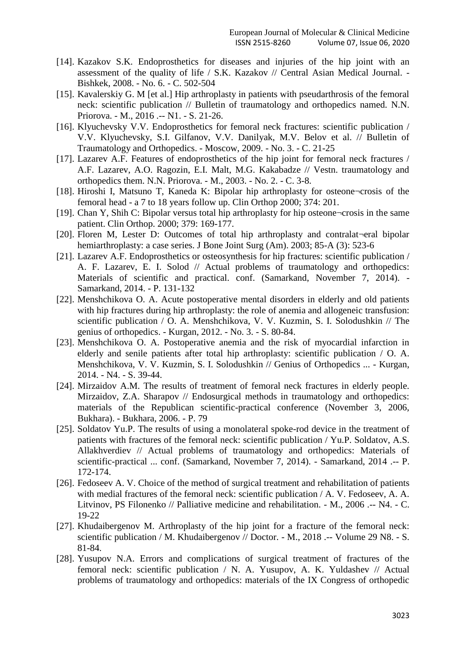- [14]. Kazakov S.K. Endoprosthetics for diseases and injuries of the hip joint with an assessment of the quality of life / S.K. Kazakov // Central Asian Medical Journal. - Bishkek, 2008. - No. 6. - C. 502-504
- [15]. Kavalerskiy G. M [et al.] Hip arthroplasty in patients with pseudarthrosis of the femoral neck: scientific publication // Bulletin of traumatology and orthopedics named. N.N. Priorova. - M., 2016 .-- N1. - S. 21-26.
- [16]. Klyuchevsky V.V. Endoprosthetics for femoral neck fractures: scientific publication / V.V. Klyuchevsky, S.I. Gilfanov, V.V. Danilyak, M.V. Belov et al. // Bulletin of Traumatology and Orthopedics. - Moscow, 2009. - No. 3. - C. 21-25
- [17]. Lazarev A.F. Features of endoprosthetics of the hip joint for femoral neck fractures / A.F. Lazarev, A.O. Ragozin, E.I. Malt, M.G. Kakabadze // Vestn. traumatology and orthopedics them. N.N. Priorova. - M., 2003. - No. 2. - C. 3-8.
- [18]. Hiroshi I, Matsuno T, Kaneda K: Bipolar hip arthroplasty for osteone¬crosis of the femoral head - a 7 to 18 years follow up. Clin Orthop 2000; 374: 201.
- [19]. Chan Y, Shih C: Bipolar versus total hip arthroplasty for hip osteone¬crosis in the same patient. Clin Orthop. 2000; 379: 169-177.
- [20]. Floren M, Lester D: Outcomes of total hip arthroplasty and contralat¬eral bipolar hemiarthroplasty: a case series. J Bone Joint Surg (Am). 2003; 85-A (3): 523-6
- [21]. Lazarev A.F. Endoprosthetics or osteosynthesis for hip fractures: scientific publication / A. F. Lazarev, E. I. Solod // Actual problems of traumatology and orthopedics: Materials of scientific and practical. conf. (Samarkand, November 7, 2014). - Samarkand, 2014. - P. 131-132
- [22]. Menshchikova O. A. Acute postoperative mental disorders in elderly and old patients with hip fractures during hip arthroplasty: the role of anemia and allogeneic transfusion: scientific publication / O. A. Menshchikova, V. V. Kuzmin, S. I. Solodushkin // The genius of orthopedics. - Kurgan, 2012. - No. 3. - S. 80-84.
- [23]. Menshchikova O. A. Postoperative anemia and the risk of myocardial infarction in elderly and senile patients after total hip arthroplasty: scientific publication / O. A. Menshchikova, V. V. Kuzmin, S. I. Solodushkin // Genius of Orthopedics ... - Kurgan, 2014. - N4. - S. 39-44.
- [24]. Mirzaidov A.M. The results of treatment of femoral neck fractures in elderly people. Mirzaidov, Z.A. Sharapov // Endosurgical methods in traumatology and orthopedics: materials of the Republican scientific-practical conference (November 3, 2006, Bukhara). - Bukhara, 2006. - P. 79
- [25]. Soldatov Yu.P. The results of using a monolateral spoke-rod device in the treatment of patients with fractures of the femoral neck: scientific publication / Yu.P. Soldatov, A.S. Allakhverdiev // Actual problems of traumatology and orthopedics: Materials of scientific-practical ... conf. (Samarkand, November 7, 2014). - Samarkand, 2014 .-- P. 172-174.
- [26]. Fedoseev A. V. Choice of the method of surgical treatment and rehabilitation of patients with medial fractures of the femoral neck: scientific publication / A. V. Fedoseev, A. A. Litvinov, PS Filonenko // Palliative medicine and rehabilitation. - M., 2006 .-- N4. - C. 19-22
- [27]. Khudaibergenov M. Arthroplasty of the hip joint for a fracture of the femoral neck: scientific publication / M. Khudaibergenov // Doctor. - M., 2018 .-- Volume 29 N8. - S. 81-84.
- [28]. Yusupov N.A. Errors and complications of surgical treatment of fractures of the femoral neck: scientific publication / N. A. Yusupov, A. K. Yuldashev // Actual problems of traumatology and orthopedics: materials of the IX Congress of orthopedic